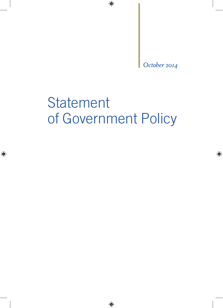*October 2014*

## **Statement** of Government Policy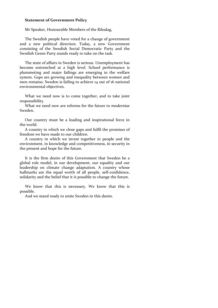## **Statement of Government Policy**

Mr Speaker, Honourable Members of the Riksdag,

The Swedish people have voted for a change of government and a new political direction. Today, a new Government consisting of the Swedish Social Democratic Party and the Swedish Green Party stands ready to take on the task.

The state of affairs in Sweden is serious. Unemployment has become entrenched at a high level. School performance is plummeting and major failings are emerging in the welfare system. Gaps are growing and inequality between women and men remains. Sweden is failing to achieve 14 out of 16 national environmental objectives.

What we need now is to come together, and to take joint responsibility.

What we need now are reforms for the future to modernise Sweden.

Our country must be a leading and inspirational force in the world.

A country in which we close gaps and fulfil the promises of freedom we have made to our children.

A country in which we invest together in people and the environment, in knowledge and competitiveness, in security in the present and hope for the future.

It is the firm desire of this Government that Sweden be a global role model, in our development, our equality and our leadership on climate change adaptation. A country whose hallmarks are the equal worth of all people, self-confidence, solidarity and the belief that it is possible to change the future.

We know that this is necessary. We know that this is possible.

And we stand ready to unite Sweden in this desire.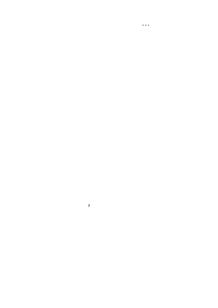$* * *$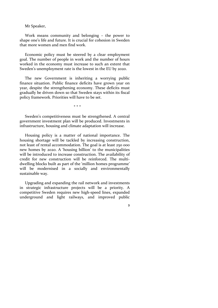Mr Speaker,

Work means community and belonging – the power to shape one's life and future. It is crucial for cohesion in Sweden that more women and men find work.

Economic policy must be steered by a clear employment goal. The number of people in work and the number of hours worked in the economy must increase to such an extent that Sweden's unemployment rate is the lowest in the EU by 2020.

The new Government is inheriting a worrying public finance situation. Public finance deficits have grown year on year, despite the strengthening economy. These deficits must gradually be driven down so that Sweden stays within its fiscal policy framework. Priorities will have to be set.

\* \* \*

Sweden's competitiveness must be strengthened. A central government investment plan will be produced. Investments in infrastructure, housing and climate adaptation will increase.

Housing policy is a matter of national importance. The housing shortage will be tackled by increasing construction, not least of rental accommodation. The goal is at least 250 000 new homes by 2020. A 'housing billion' to the municipalities will be introduced to increase construction. The availability of credit for new construction will be reinforced. The multidwelling blocks built as part of the 'million homes programme' will be modernised in a socially and environmentally sustainable way.

Upgrading and expanding the rail network and investments in strategic infrastructure projects will be a priority. A competitive Sweden requires new high‐speed lines, expanded underground and light railways, and improved public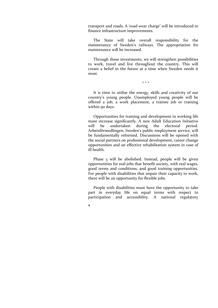transport and roads. A 'road wear charge' will be introduced to finance infrastructure improvements.

The State will take overall responsibility for the maintenance of Sweden's railways. The appropriation for maintenance will be increased.

Through these investments, we will strengthen possibilities to work, travel and live throughout the country. This will create a belief in the future at a time when Sweden needs it most.

\* \* \*

It is time to utilise the energy, skills and creativity of our country's young people. Unemployed young people will be offered a job, a work placement, a trainee job or training within 90 days.

Opportunities for training and development in working life must increase significantly. A new Adult Education Initiative will be undertaken during the electoral period. Arbetsförmedlingen, Sweden's public employment service, will be fundamentally reformed. Discussions will be opened with the social partners on professional development, career change opportunities and an effective rehabilitation system in case of ill health.

Phase 3 will be abolished. Instead, people will be given opportunities for real jobs that benefit society, with real wages, good terms and conditions, and good training opportunities. For people with disabilities that impair their capacity to work, there will be an opportunity for flexible jobs.

People with disabilities must have the opportunity to take part in everyday life on equal terms with respect to participation and accessibility. A national regulatory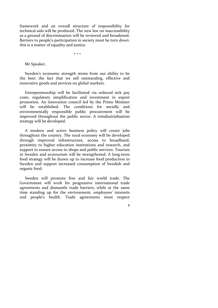framework and an overall structure of responsibility for technical aids will be produced. The new law on inaccessibility as a ground of discrimination will be reviewed and broadened. Barriers to people's participation in society must be torn down: this is a matter of equality and justice.

\* \* \*

Mr Speaker,

Sweden's economic strength stems from our ability to be the best: the fact that we sell outstanding, effective and innovative goods and services on global markets.

Entrepreneurship will be facilitated via reduced sick pay costs, regulatory simplification and investment in export promotion. An innovation council led by the Prime Minister will be established. The conditions for socially and environmentally responsible public procurement will be improved throughout the public sector. A reindustrialisation strategy will be developed.

A modern and active business policy will create jobs throughout the country. The rural economy will be developed through improved infrastructure, access to broadband, proximity to higher education institutions and research, and support to ensure access to shops and public services. Tourism in Sweden and ecotourism will be strengthened. A long‐term food strategy will be drawn up to increase food production in Sweden and support increased consumption of Swedish and organic food.

Sweden will promote free and fair world trade. The Government will work for progressive international trade agreements and dismantle trade barriers, while at the same time standing up for the environment, employees' interests and people's health. Trade agreements must respect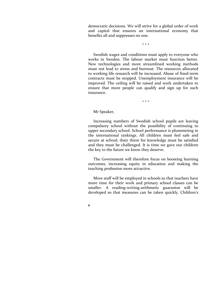democratic decisions. We will strive for a global order of work and capital that ensures an international economy that benefits all and suppresses no one.

\* \* \*

Swedish wages and conditions must apply to everyone who works in Sweden. The labour market must function better. New technologies and more streamlined working methods must not lead to stress and burnout. The resources allocated to working life research will be increased. Abuse of fixed‐term contracts must be stopped. Unemployment insurance will be improved. The ceiling will be raised and work undertaken to ensure that more people can qualify and sign up for such insurance.

\* \* \*

Mr Speaker,

Increasing numbers of Swedish school pupils are leaving compulsory school without the possibility of continuing to upper secondary school. School performance is plummeting in the international rankings. All children must feel safe and secure at school; their thirst for knowledge must be satisfied and they must be challenged. It is time we gave our children the key to the future we know they deserve.

The Government will therefore focus on boosting learning outcomes, increasing equity in education and making the teaching profession more attractive.

More staff will be employed in schools so that teachers have more time for their work and primary school classes can be smaller. A reading-writing-arithmetic guarantee will be developed so that measures can be taken quickly. Children's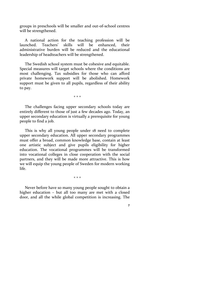groups in preschools will be smaller and out‐of‐school centres will be strengthened.

A national action for the teaching profession will be enhanced, their<br>unched. Teachers' skills will be enhanced, their launched. Teachers' skills will be enhanced, their administrative burden will be reduced and the educational leadership of headteachers will be strengthened.

The Swedish school system must be cohesive and equitable. Special measures will target schools where the conditions are most challenging. Tax subsidies for those who can afford private homework support will be abolished. Homework support must be given to all pupils, regardless of their ability to pay.

\* \* \*

The challenges facing upper secondary schools today are entirely different to those of just a few decades ago. Today, an upper secondary education is virtually a prerequisite for young people to find a job.

This is why all young people under 18 need to complete upper secondary education. All upper secondary programmes must offer a broad, common knowledge base, contain at least one artistic subject and give pupils eligibility for higher education. The vocational programmes will be transformed into vocational colleges in close cooperation with the social partners, and they will be made more attractive. This is how we will equip the young people of Sweden for modern working life.

\* \* \*

Never before have so many young people sought to obtain a higher education – but all too many are met with a closed door, and all the while global competition is increasing. The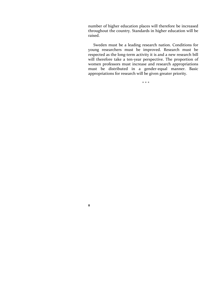number of higher education places will therefore be increased throughout the country. Standards in higher education will be raised.

Sweden must be a leading research nation. Conditions for young researchers must be improved. Research must be respected as the long-term activity it is and a new research bill will therefore take a ten-year perspective. The proportion of women professors must increase and research appropriations must be distributed in a gender‐equal manner. Basic appropriations for research will be given greater priority.

\* \* \*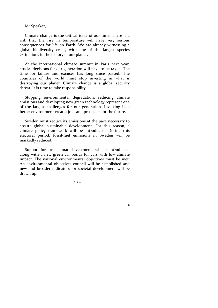Mr Speaker,

Climate change is the critical issue of our time. There is a risk that the rise in temperature will have very serious consequences for life on Earth. We are already witnessing a global biodiversity crisis, with one of the largest species extinctions in the history of our planet.

At the international climate summit in Paris next year, crucial decisions for our generation will have to be taken. The time for failure and excuses has long since passed. The countries of the world must stop investing in what is destroying our planet. Climate change is a global security threat. It is time to take responsibility.

Stopping environmental degradation, reducing climate emissions and developing new green technology represent one of the largest challenges for our generation. Investing in a better environment creates jobs and prospects for the future.

Sweden must reduce its emissions at the pace necessary to ensure global sustainable development. For this reason, a climate policy framework will be introduced. During this electoral period, fossil‐fuel emissions in Sweden will be markedly reduced.

Support for local climate investments will be introduced, along with a new green car bonus for cars with low climate impact. The national environmental objectives must be met. An environmental objectives council will be established and new and broader indicators for societal development will be drawn up.

\* \* \*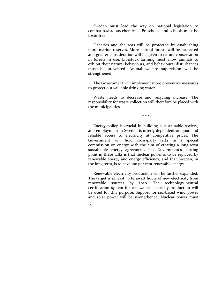Sweden must lead the way on national legislation to combat hazardous chemicals. Preschools and schools must be toxin‐free.

Fisheries and the seas will be protected by establishing more marine reserves. More natural forests will be protected and greater consideration will be given to nature conservation in forests in use. Livestock farming must allow animals to exhibit their natural behaviours, and behavioural disturbances must be prevented. Animal welfare supervision will be strengthened.

The Government will implement more preventive measures to protect our valuable drinking water.

Waste needs to decrease and recycling increase. The responsibility for waste collection will therefore be placed with the municipalities.

\* \* \*

Energy policy is crucial in building a sustainable society, and employment in Sweden is utterly dependent on good and reliable access to electricity at competitive prices. The Government will hold cross‐party talks in a special commission on energy with the aim of creating a long-term sustainable energy agreement. The Government's starting point in these talks is that nuclear power is to be replaced by renewable energy and energy efficiency, and that Sweden, in the long term, is to have 100 per cent renewable energy.

Renewable electricity production will be further expanded. The target is at least 30 terawatt hours of new electricity from renewable sources by 2020. The technology-neutral certification system for renewable electricity production will be used for this purpose. Support for sea-based wind power and solar power will be strengthened. Nuclear power must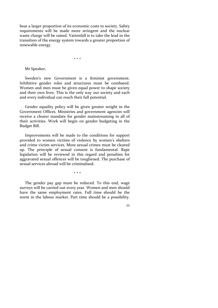bear a larger proportion of its economic costs to society. Safety requirements will be made more stringent and the nuclear waste charge will be raised. Vattenfall is to take the lead in the transition of the energy system towards a greater proportion of renewable energy.

\* \* \*

Mr Speaker,

Sweden's new Government is a feminist government. Inhibitive gender roles and structures must be combated. Women and men must be given equal power to shape society and their own lives. This is the only way our society and each and every individual can reach their full potential.

Gender equality policy will be given greater weight in the Government Offices. Ministries and government agencies will receive a clearer mandate for gender mainstreaming in all of their activities. Work will begin on gender budgeting in the Budget Bill.

Improvements will be made to the conditions for support provided to women victims of violence by women's shelters and crime victim services. More sexual crimes must be cleared up. The principle of sexual consent is fundamental. Rape legislation will be reviewed in this regard and penalties for aggravated sexual offences will be toughened. The purchase of sexual services abroad will be criminalised.

\* \* \*

The gender pay gap must be reduced. To this end, wage surveys will be carried out every year. Women and men should have the same employment rates. Full time should be the norm in the labour market. Part time should be a possibility.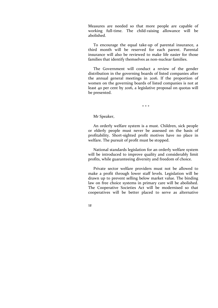Measures are needed so that more people are capable of working full-time. The child-raising allowance will be abolished.

To encourage the equal take‐up of parental insurance, a third month will be reserved for each parent. Parental insurance will also be reviewed to make life easier for those families that identify themselves as non-nuclear families.

The Government will conduct a review of the gender distribution in the governing boards of listed companies after the annual general meetings in 2016. If the proportion of women on the governing boards of listed companies is not at least 40 per cent by 2016, a legislative proposal on quotas will be presented.

\* \* \*

Mr Speaker,

An orderly welfare system is a must. Children, sick people or elderly people must never be assessed on the basis of profitability. Short‐sighted profit motives have no place in welfare. The pursuit of profit must be stopped.

National standards legislation for an orderly welfare system will be introduced to improve quality and considerably limit profits, while guaranteeing diversity and freedom of choice.

Private sector welfare providers must not be allowed to make a profit through lower staff levels. Legislation will be drawn up to prevent selling below market value. The binding law on free choice systems in primary care will be abolished. The Cooperative Societies Act will be modernised so that cooperatives will be better placed to serve as alternative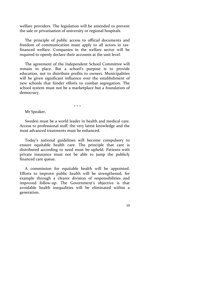welfare providers. The legislation will be amended to prevent the sale or privatisation of university or regional hospitals.

The principle of public access to official documents and freedom of communication must apply to all actors in taxfinanced welfare. Companies in the welfare sector will be required to openly declare their accounts at the unit level.

The agreement of the Independent School Committee will remain in place. But a school's purpose is to provide education, not to distribute profits to owners. Municipalities will be given significant influence over the establishment of new schools that hinder efforts to combat segregation. The school system must not be a marketplace but a foundation of democracy.

\* \* \*

Mr Speaker,

Sweden must be a world leader in health and medical care. Access to professional staff, the very latest knowledge and the most advanced treatments must be enhanced.

Today's national guidelines will become compulsory to ensure equitable health care. The principle that care is distributed according to need must be upheld. Patients with private insurance must not be able to jump the publicly financed care queue.

A commission for equitable health will be appointed. Efforts to improve public health will be strengthened, for example through a clearer division of responsibilities and improved follow‐up. The Government's objective is that avoidable health inequalities will be eliminated within a generation.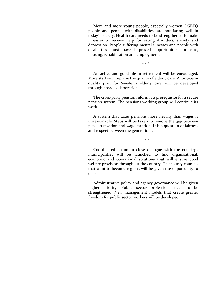More and more young people, especially women, LGBTQ people and people with disabilities, are not faring well in today's society. Health care needs to be strengthened to make it easier to receive help for eating disorders, anxiety and depression. People suffering mental illnesses and people with disabilities must have improved opportunities for care, housing, rehabilitation and employment.

\* \* \*

An active and good life in retirement will be encouraged. More staff will improve the quality of elderly care. A long-term quality plan for Sweden's elderly care will be developed through broad collaboration.

The cross-party pension reform is a prerequisite for a secure pension system. The pensions working group will continue its work.

A system that taxes pensions more heavily than wages is unreasonable. Steps will be taken to remove the gap between pension taxation and wage taxation. It is a question of fairness and respect between the generations.

\* \* \*

Coordinated action in close dialogue with the country's municipalities will be launched to find organisational, economic and operational solutions that will ensure good welfare provision throughout the country. The county councils that want to become regions will be given the opportunity to do so.

Administrative policy and agency governance will be given higher priority. Public sector professions need to be strengthened. New management models that create greater freedom for public sector workers will be developed.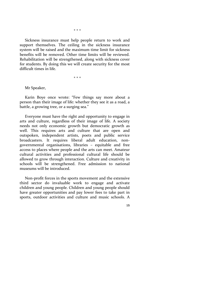Sickness insurance must help people return to work and support themselves. The ceiling in the sickness insurance system will be raised and the maximum time limit for sickness benefits will be removed. Other time limits will be reviewed. Rehabilitation will be strengthened, along with sickness cover for students. By doing this we will create security for the most difficult times in life.

\* \* \*

Mr Speaker,

Karin Boye once wrote: "Few things say more about a person than their image of life: whether they see it as a road, a battle, a growing tree, or a surging sea."

Everyone must have the right and opportunity to engage in arts and culture, regardless of their image of life. A society needs not only economic growth but democratic growth as well. This requires arts and culture that are open and outspoken, independent artists, poets and public service broadcasters. It requires liberal adult education, nongovernmental organisations, libraries – equitable and free access to places where people and the arts can meet. Amateur cultural activities and professional cultural life should be allowed to grow through interaction. Culture and creativity in schools will be strengthened. Free admission to national museums will be introduced.

Non‐profit forces in the sports movement and the extensive third sector do invaluable work to engage and activate children and young people. Children and young people should have greater opportunities and pay lower fees to take part in sports, outdoor activities and culture and music schools. A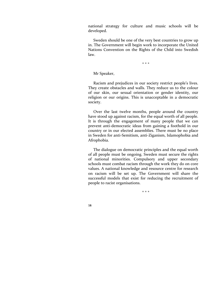national strategy for culture and music schools will be developed.

Sweden should be one of the very best countries to grow up in. The Government will begin work to incorporate the United Nations Convention on the Rights of the Child into Swedish law.

\* \* \*

Mr Speaker,

Racism and prejudices in our society restrict people's lives. They create obstacles and walls. They reduce us to the colour of our skin, our sexual orientation or gender identity, our religion or our origins. This is unacceptable in a democratic society.

Over the last twelve months, people around the country have stood up against racism, for the equal worth of all people. It is through the engagement of many people that we can prevent anti‐democratic ideas from gaining a foothold in our country or in our elected assemblies. There must be no place in Sweden for anti‐Semitism, anti‐Ziganism, Islamophobia and Afrophobia.

The dialogue on democratic principles and the equal worth of all people must be ongoing. Sweden must secure the rights of national minorities. Compulsory and upper secondary schools must combat racism through the work they do on core values. A national knowledge and resource centre for research on racism will be set up. The Government will share the successful models that exist for reducing the recruitment of people to racist organisations.

\* \* \*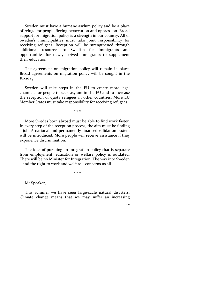Sweden must have a humane asylum policy and be a place of refuge for people fleeing persecution and oppression. Broad support for migration policy is a strength in our country. All of Sweden's municipalities must take joint responsibility for receiving refugees. Reception will be strengthened through additional resources to Swedish for Immigrants and opportunities for newly arrived immigrants to supplement their education.

The agreement on migration policy will remain in place. Broad agreements on migration policy will be sought in the Riksdag.

Sweden will take steps in the EU to create more legal channels for people to seek asylum in the EU and to increase the reception of quota refugees in other countries. More EU Member States must take responsibility for receiving refugees.

\* \* \*

More Swedes born abroad must be able to find work faster. In every step of the reception process, the aim must be finding a job. A national and permanently financed validation system will be introduced. More people will receive assistance if they experience discrimination.

The idea of pursuing an integration policy that is separate from employment, education or welfare policy is outdated. There will be no Minister for Integration. The way into Sweden – and the right to work and welfare – concerns us all.

\* \* \*

Mr Speaker,

This summer we have seen large-scale natural disasters. Climate change means that we may suffer an increasing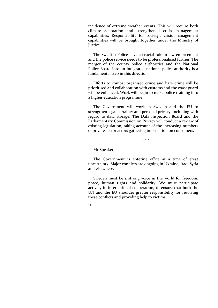incidence of extreme weather events. This will require both climate adaptation and strengthened crisis management capabilities. Responsibility for society's crisis management capabilities will be brought together under the Ministry of Justice.

The Swedish Police have a crucial role in law enforcement and the police service needs to be professionalised further. The merger of the county police authorities and the National Police Board into an integrated national police authority is a fundamental step in this direction.

Efforts to combat organised crime and hate crime will be prioritised and collaboration with customs and the coast guard will be enhanced. Work will begin to make police training into a higher education programme.

The Government will work in Sweden and the EU to strengthen legal certainty and personal privacy, including with regard to data storage. The Data Inspection Board and the Parliamentary Commission on Privacy will conduct a review of existing legislation, taking account of the increasing numbers of private sector actors gathering information on consumers.

\* \* \*

Mr Speaker,

The Government is entering office at a time of great uncertainty. Major conflicts are ongoing in Ukraine, Iraq, Syria and elsewhere.

Sweden must be a strong voice in the world for freedom, peace, human rights and solidarity. We must participate actively in international cooperation, to ensure that both the UN and the EU shoulder greater responsibility for resolving these conflicts and providing help to victims.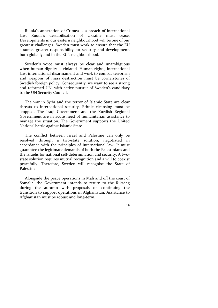Russia's annexation of Crimea is a breach of international<br>Russia's destabilisation of Ukraine must cease law. Russia's destabilisation of Ukraine must cease. Developments in our eastern neighbourhood will be one of our greatest challenges. Sweden must work to ensure that the EU assumes greater responsibility for security and development, both globally and in the EU's neighbourhood.

Sweden's voice must always be clear and unambiguous when human dignity is violated. Human rights, international law, international disarmament and work to combat terrorism and weapons of mass destruction must be cornerstones of Swedish foreign policy. Consequently, we want to see a strong and reformed UN, with active pursuit of Sweden's candidacy to the UN Security Council.

The war in Syria and the terror of Islamic State are clear threats to international security. Ethnic cleansing must be stopped. The Iraqi Government and the Kurdish Regional Government are in acute need of humanitarian assistance to manage the situation. The Government supports the United Nations' battle against Islamic State.

The conflict between Israel and Palestine can only be resolved through a two-state solution, negotiated in accordance with the principles of international law. It must guarantee the legitimate demands of both the Palestinians and the Israelis for national self-determination and security. A twostate solution requires mutual recognition and a will to coexist peacefully. Therefore, Sweden will recognise the State of Palestine.

Alongside the peace operations in Mali and off the coast of Somalia, the Government intends to return to the Riksdag during the autumn with proposals on continuing the transition to support operations in Afghanistan. Assistance to Afghanistan must be robust and long-term.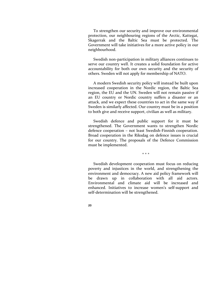To strengthen our security and improve our environmental protection, our neighbouring regions of the Arctic, Kattegat, Skagerrak and the Baltic Sea must be protected. The Government will take initiatives for a more active policy in our neighbourhood.

Swedish non‐participation in military alliances continues to serve our country well. It creates a solid foundation for active accountability for both our own security and the security of others. Sweden will not apply for membership of NATO.

A modern Swedish security policy will instead be built upon increased cooperation in the Nordic region, the Baltic Sea region, the EU and the UN. Sweden will not remain passive if an EU country or Nordic country suffers a disaster or an attack, and we expect these countries to act in the same way if Sweden is similarly affected. Our country must be in a position to both give and receive support, civilian as well as military.

Swedish defence and public support for it must be strengthened. The Government wants to strengthen Nordic defence cooperation – not least Swedish‐Finnish cooperation. Broad cooperation in the Riksdag on defence issues is crucial for our country. The proposals of the Defence Commission must be implemented.

\* \* \*

Swedish development cooperation must focus on reducing poverty and injustices in the world, and strengthening the environment and democracy. A new aid policy framework will be drawn up in collaboration with all aid actors. Environmental and climate aid will be increased and enhanced. Initiatives to increase women's self‐support and self-determination will be strengthened.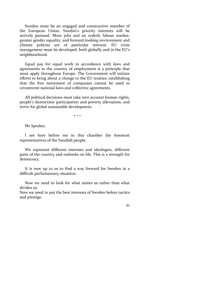Sweden must be an engaged and constructive member of the European Union. Sweden's priority interests will be actively pursued. More jobs and an orderly labour market, greater gender equality, and forward‐looking environment and climate policies are of particular interest. EU crisis management must be developed, both globally and in the EU's neighbourhood.

Equal pay for equal work in accordance with laws and agreements in the country of employment is a principle that must apply throughout Europe. The Government will initiate efforts to bring about a change to the EU treaties, establishing that the free movement of companies cannot be used to circumvent national laws and collective agreements.

All political decisions must take into account human rights, people's democratic participation and poverty alleviation, and strive for global sustainable development.

\* \* \*

Mr Speaker,

I see here before me in this chamber the foremost representatives of the Swedish people.

We represent different interests and ideologies, different parts of the country and outlooks on life. This is a strength for democracy.

It is now up to us to find a way forward for Sweden in a difficult parliamentary situation.

Now we need to look for what unites us rather than what divides us.

Now we need to put the best interests of Sweden before tactics and prestige.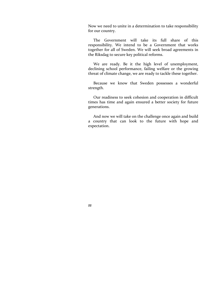Now we need to unite in a determination to take responsibility for our country.

The Government will take its full share of this responsibility. We intend to be a Government that works together for all of Sweden. We will seek broad agreements in the Riksdag to secure key political reforms.

We are ready. Be it the high level of unemployment, declining school performance, failing welfare or the growing threat of climate change, we are ready to tackle these together.

Because we know that Sweden possesses a wonderful strength.

Our readiness to seek cohesion and cooperation in difficult times has time and again ensured a better society for future generations.

And now we will take on the challenge once again and build a country that can look to the future with hope and expectation.